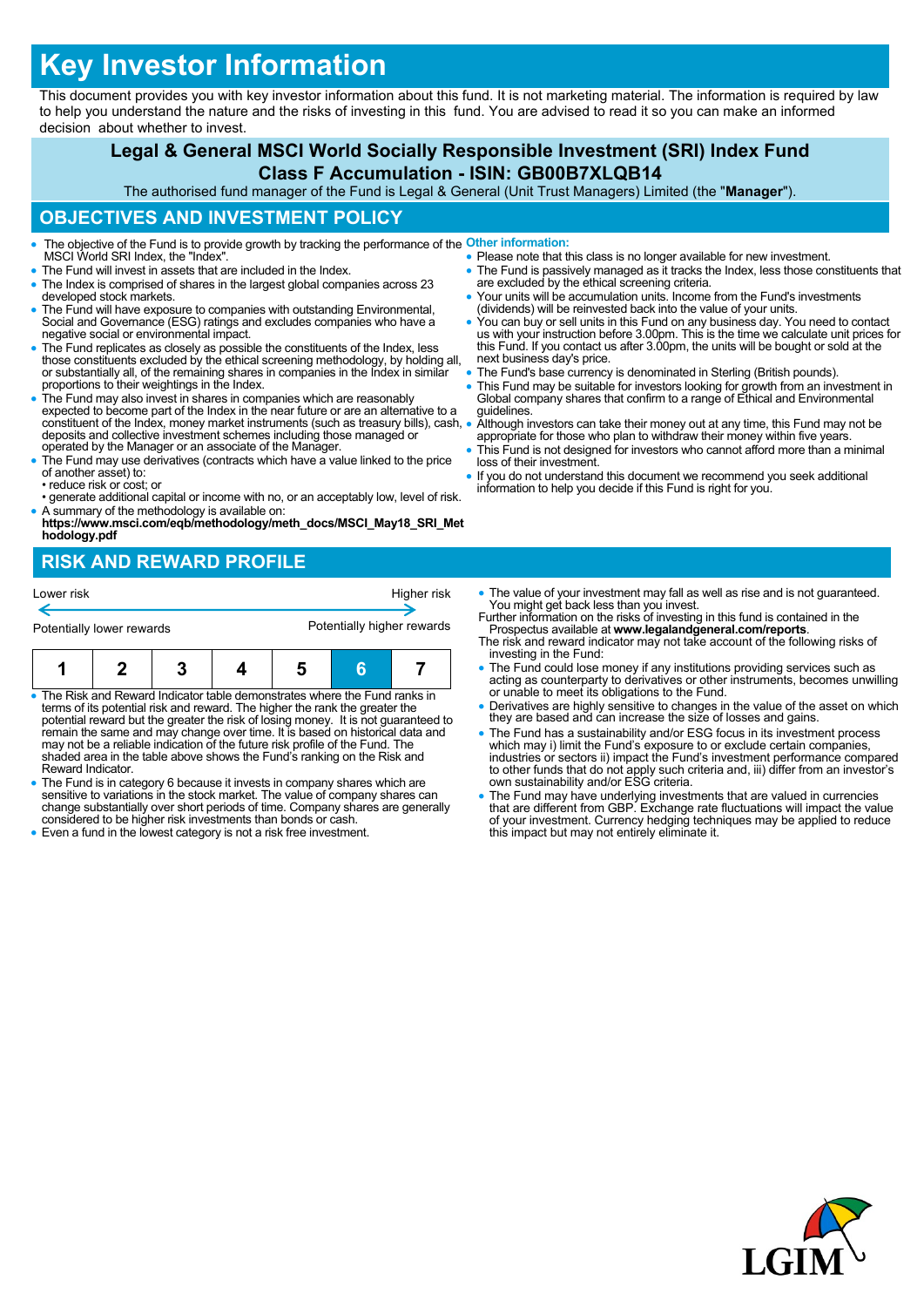# **Key Investor Information**

This document provides you with key investor information about this fund. It is not marketing material. The information is required by law to help you understand the nature and the risks of investing in this fund. You are advised to read it so you can make an informed decision about whether to invest.

## **Legal & General MSCI World Socially Responsible Investment (SRI) Index Fund Class F Accumulation - ISIN: GB00B7XLQB14**

The authorised fund manager of the Fund is Legal & General (Unit Trust Managers) Limited (the "**Manager**").

#### **OBJECTIVES AND INVESTMENT POLICY**

- The objective of the Fund is to provide growth by tracking the performance of the **Other information:** MSCI World SRI Index, the "Index".
- The Fund will invest in assets that are included in the Index.
- The Index is comprised of shares in the largest global companies across 23 developed stock markets.
- The Fund will have exposure to companies with outstanding Environmental, Social and Governance (ESG) ratings and excludes companies who have a negative social or environmental impact.
- The Fund replicates as closely as possible the constituents of the Index, less those constituents excluded by the ethical screening methodology, by holding all, or substantially all, of the remaining shares in companies in the Index in similar proportions to their weightings in the Index.
- The Fund may also invest in shares in companies which are reasonably expected to become part of the Index in the near future or are an alternative to a constituent of the Index, money market instruments (such as treasury bills), cash, deposits and collective investment schemes including those managed or operated by the Manager or an associate of the Manager.
- The Fund may use derivatives (contracts which have a value linked to the price of another asset) to: • reduce risk or cost; or
- generate additional capital or income with no, or an acceptably low, level of risk.
- A summary of the methodology is available on: **https://www.msci.com/eqb/methodology/meth\_docs/MSCI\_May18\_SRI\_Met hodology.pdf**

## **RISK AND REWARD PROFILE**

| Lower risk                |  |  |  | Higher risk                |   |  |
|---------------------------|--|--|--|----------------------------|---|--|
| Potentially lower rewards |  |  |  | Potentially higher rewards |   |  |
|                           |  |  |  |                            | в |  |

- The Risk and Reward Indicator table demonstrates where the Fund ranks in terms of its potential risk and reward. The higher the rank the greater the potential reward but the greater the risk of losing money. It is not guaranteed to<br>remain the same and may change over time. It is based on historical data and<br>may not be a reliable indication of the future risk profile of shaded area in the table above shows the Fund's ranking on the Risk and Reward Indicator.
- The Fund is in category 6 because it invests in company shares which are sensitive to variations in the stock market. The value of company shares can change substantially over short periods of time. Company shares are generally considered to be higher risk investments than bonds or cash.
- Even a fund in the lowest category is not a risk free investment.
- Please note that this class is no longer available for new investment. • The Fund is passively managed as it tracks the Index, less those constituents that are excluded by the ethical screening criteria.
	- Your units will be accumulation units. Income from the Fund's investments (dividends) will be reinvested back into the value of your units.
- You can buy or sell units in this Fund on any business day. You need to contact us with your instruction before 3.00pm. This is the time we calculate unit prices for this Fund. If you contact us after 3.00pm, the units will be bought or sold at the next business day's price.
- The Fund's base currency is denominated in Sterling (British pounds).
- This Fund may be suitable for investors looking for growth from an investment in Global company shares that confirm to a range of Ethical and Environmental guidelines.
- Although investors can take their money out at any time, this Fund may not be appropriate for those who plan to withdraw their money within five years.
- This Fund is not designed for investors who cannot afford more than a minimal loss of their investment.
- If you do not understand this document we recommend you seek additional information to help you decide if this Fund is right for you.
- The value of your investment may fall as well as rise and is not guaranteed. You might get back less than you invest. Further information on the risks of investing in this fund is contained in the
- Prospectus available at **www.legalandgeneral.com/reports**. The risk and reward indicator may not take account of the following risks of
- investing in the Fund:
- The Fund could lose money if any institutions providing services such as acting as counterparty to derivatives or other instruments, becomes unwilling or unable to meet its obligations to the Fund.
- Derivatives are highly sensitive to changes in the value of the asset on which they are based and can increase the size of losses and gains.
- The Fund has a sustainability and/or ESG focus in its investment process which may i) limit the Fund's exposure to or exclude certain companies, industries or sectors ii) impact the Fund's investment performance compared to other funds that do not apply such criteria and, iii) differ from an investor's own sustainability and/or ESG criteria.
- The Fund may have underlying investments that are valued in currencies that are different from GBP. Exchange rate fluctuations will impact the value of your investment. Currency hedging techniques may be applied to reduce this impact but may not entirely eliminate it.